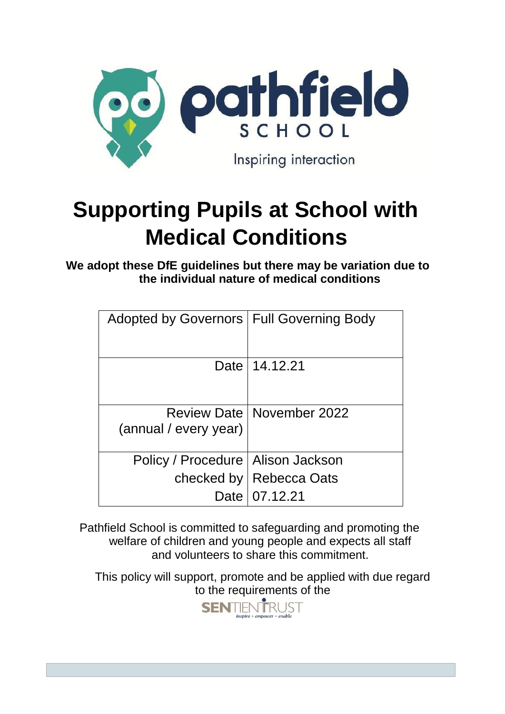

## **Supporting Pupils at School with Medical Conditions**

**We adopt these DfE guidelines but there may be variation due to the individual nature of medical conditions**

| Adopted by Governors   Full Governing Body |                             |
|--------------------------------------------|-----------------------------|
|                                            | Date   14.12.21             |
| (annual / every year)                      | Review Date   November 2022 |
| Policy / Procedure   Alison Jackson        |                             |
|                                            | checked by   Rebecca Oats   |
|                                            | Date   07.12.21             |

Pathfield School is committed to safeguarding and promoting the welfare of children and young people and expects all staff and volunteers to share this commitment.

This policy will support, promote and be applied with due regard to the requirements of the<br> **SENTENTRUST** 

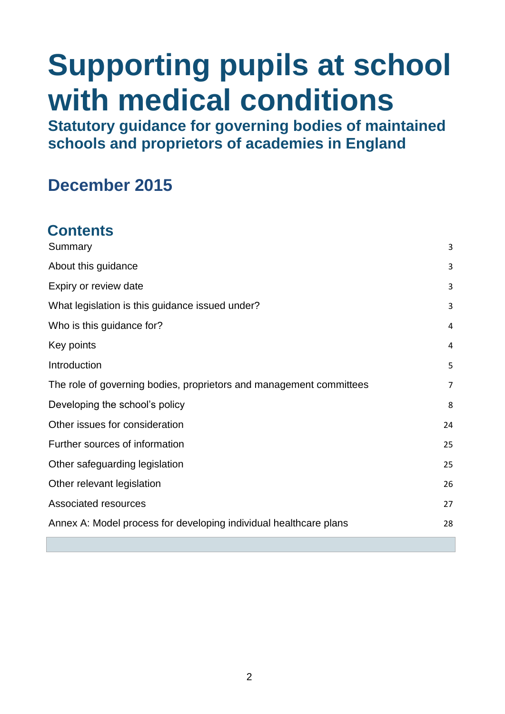# **Supporting pupils at school with medical conditions**

**Statutory guidance for governing bodies of maintained schools and proprietors of academies in England** 

### **December 2015**

### **Contents**

| Summary                                                             | 3              |
|---------------------------------------------------------------------|----------------|
| About this guidance                                                 | 3              |
| Expiry or review date                                               | 3              |
| What legislation is this guidance issued under?                     | 3              |
| Who is this guidance for?                                           | 4              |
| Key points                                                          | 4              |
| Introduction                                                        | 5              |
| The role of governing bodies, proprietors and management committees | $\overline{7}$ |
| Developing the school's policy                                      | 8              |
| Other issues for consideration                                      | 24             |
| Further sources of information                                      | 25             |
| Other safeguarding legislation                                      | 25             |
| Other relevant legislation                                          | 26             |
| Associated resources                                                | 27             |
| Annex A: Model process for developing individual healthcare plans   | 28             |
|                                                                     |                |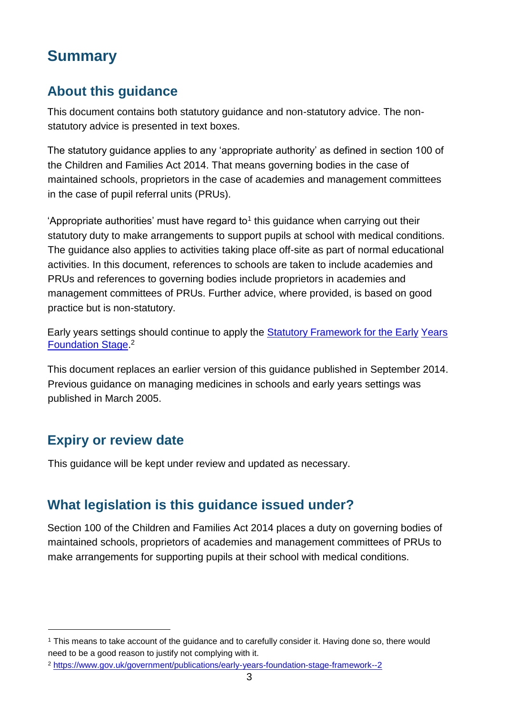### <span id="page-2-0"></span>**Summary**

### <span id="page-2-1"></span>**About this guidance**

This document contains both statutory guidance and non-statutory advice. The nonstatutory advice is presented in text boxes.

The statutory guidance applies to any 'appropriate authority' as defined in section 100 of the Children and Families Act 2014. That means governing bodies in the case of maintained schools, proprietors in the case of academies and management committees in the case of pupil referral units (PRUs).

'Appropriate authorities' must have regard to<sup>1</sup> this guidance when carrying out their statutory duty to make arrangements to support pupils at school with medical conditions. The guidance also applies to activities taking place off-site as part of normal educational activities. In this document, references to schools are taken to include academies and PRUs and references to governing bodies include proprietors in academies and management committees of PRUs. Further advice, where provided, is based on good practice but is non-statutory.

Early years settings should continue to apply the [Statutory Framework for the Early](https://www.gov.uk/government/publications/early-years-foundation-stage-framework--2) [Years](https://www.gov.uk/government/publications/early-years-foundation-stage-framework--2)  [Foundation Stage.](https://www.gov.uk/government/publications/early-years-foundation-stage-framework--2)<sup>2</sup>

This document replaces an earlier version of this guidance published in September 2014. Previous guidance on managing medicines in schools and early years settings was published in March 2005.

### <span id="page-2-2"></span>**Expiry or review date**

1

This guidance will be kept under review and updated as necessary.

### <span id="page-2-3"></span>**What legislation is this guidance issued under?**

Section 100 of the Children and Families Act 2014 places a duty on governing bodies of maintained schools, proprietors of academies and management committees of PRUs to make arrangements for supporting pupils at their school with medical conditions.

<sup>1</sup> This means to take account of the guidance and to carefully consider it. Having done so, there would need to be a good reason to justify not complying with it.

<sup>2</sup> <https://www.gov.uk/government/publications/early-years-foundation-stage-framework--2>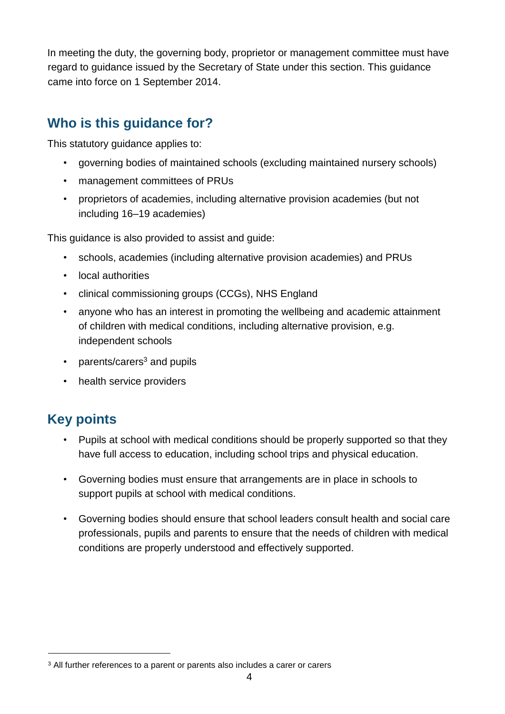In meeting the duty, the governing body, proprietor or management committee must have regard to guidance issued by the Secretary of State under this section. This guidance came into force on 1 September 2014.

### <span id="page-3-0"></span>**Who is this guidance for?**

This statutory guidance applies to:

- governing bodies of maintained schools (excluding maintained nursery schools)
- management committees of PRUs
- proprietors of academies, including alternative provision academies (but not including 16–19 academies)

This guidance is also provided to assist and guide:

- schools, academies (including alternative provision academies) and PRUs
- local authorities
- clinical commissioning groups (CCGs), NHS England
- anyone who has an interest in promoting the wellbeing and academic attainment of children with medical conditions, including alternative provision, e.g. independent schools
- $\cdot$  parents/carers<sup>3</sup> and pupils
- health service providers

### <span id="page-3-1"></span>**Key points**

1

- Pupils at school with medical conditions should be properly supported so that they have full access to education, including school trips and physical education.
- Governing bodies must ensure that arrangements are in place in schools to support pupils at school with medical conditions.
- Governing bodies should ensure that school leaders consult health and social care professionals, pupils and parents to ensure that the needs of children with medical conditions are properly understood and effectively supported.

<sup>&</sup>lt;sup>3</sup> All further references to a parent or parents also includes a carer or carers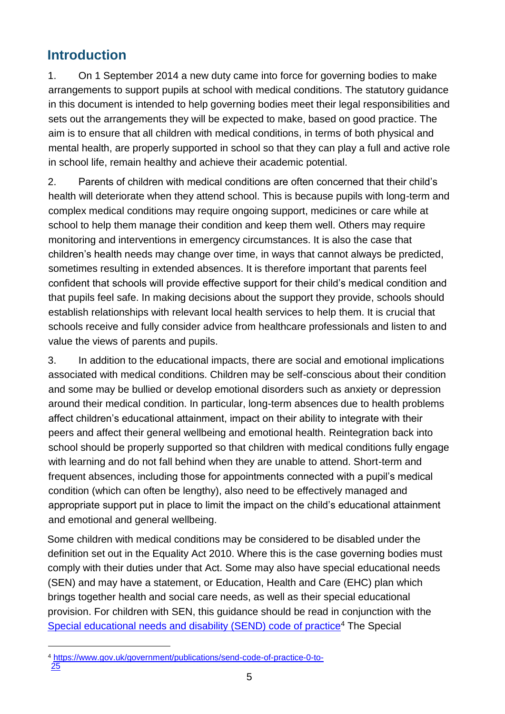### <span id="page-4-0"></span>**Introduction**

1. On 1 September 2014 a new duty came into force for governing bodies to make arrangements to support pupils at school with medical conditions. The statutory guidance in this document is intended to help governing bodies meet their legal responsibilities and sets out the arrangements they will be expected to make, based on good practice. The aim is to ensure that all children with medical conditions, in terms of both physical and mental health, are properly supported in school so that they can play a full and active role in school life, remain healthy and achieve their academic potential.

2. Parents of children with medical conditions are often concerned that their child's health will deteriorate when they attend school. This is because pupils with long-term and complex medical conditions may require ongoing support, medicines or care while at school to help them manage their condition and keep them well. Others may require monitoring and interventions in emergency circumstances. It is also the case that children's health needs may change over time, in ways that cannot always be predicted, sometimes resulting in extended absences. It is therefore important that parents feel confident that schools will provide effective support for their child's medical condition and that pupils feel safe. In making decisions about the support they provide, schools should establish relationships with relevant local health services to help them. It is crucial that schools receive and fully consider advice from healthcare professionals and listen to and value the views of parents and pupils.

3. In addition to the educational impacts, there are social and emotional implications associated with medical conditions. Children may be self-conscious about their condition and some may be bullied or develop emotional disorders such as anxiety or depression around their medical condition. In particular, long-term absences due to health problems affect children's educational attainment, impact on their ability to integrate with their peers and affect their general wellbeing and emotional health. Reintegration back into school should be properly supported so that children with medical conditions fully engage with learning and do not fall behind when they are unable to attend. Short-term and frequent absences, including those for appointments connected with a pupil's medical condition (which can often be lengthy), also need to be effectively managed and appropriate support put in place to limit the impact on the child's educational attainment and emotional and general wellbeing.

Some children with medical conditions may be considered to be disabled under the definition set out in the Equality Act 2010. Where this is the case governing bodies must comply with their duties under that Act. Some may also have special educational needs (SEN) and may have a statement, or Education, Health and Care (EHC) plan which brings together health and social care needs, as well as their special educational provision. For children with SEN, this guidance should be read in conjunction with the [Special educational needs and disability \(SEND\) code of practice](https://www.gov.uk/government/publications/send-code-of-practice-0-to-25)<sup>4</sup> The Special

1

<sup>4</sup> [https://www.gov.uk/government/publications/send-code-of-practice-0-to-](https://www.gov.uk/government/publications/send-code-of-practice-0-to-25)[25](https://www.gov.uk/government/publications/send-code-of-practice-0-to-25)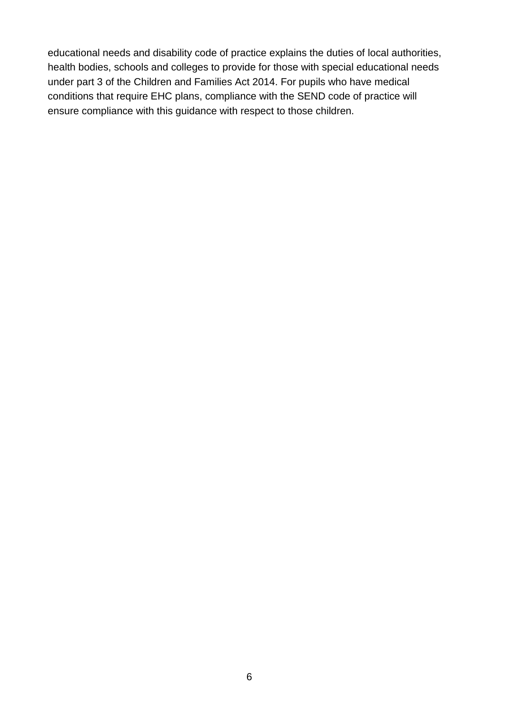educational needs and disability code of practice explains the duties of local authorities, health bodies, schools and colleges to provide for those with special educational needs under part 3 of the Children and Families Act 2014. For pupils who have medical conditions that require EHC plans, compliance with the SEND code of practice will ensure compliance with this guidance with respect to those children.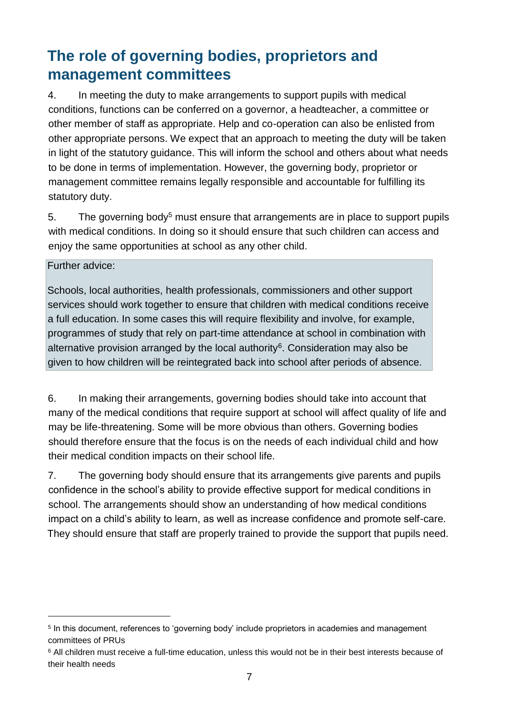### <span id="page-6-0"></span>**The role of governing bodies, proprietors and management committees**

4. In meeting the duty to make arrangements to support pupils with medical conditions, functions can be conferred on a governor, a headteacher, a committee or other member of staff as appropriate. Help and co-operation can also be enlisted from other appropriate persons. We expect that an approach to meeting the duty will be taken in light of the statutory guidance. This will inform the school and others about what needs to be done in terms of implementation. However, the governing body, proprietor or management committee remains legally responsible and accountable for fulfilling its statutory duty.

5. The governing body<sup>5</sup> must ensure that arrangements are in place to support pupils with medical conditions. In doing so it should ensure that such children can access and enjoy the same opportunities at school as any other child.

Further advice:

 $\overline{a}$ 

Schools, local authorities, health professionals, commissioners and other support services should work together to ensure that children with medical conditions receive a full education. In some cases this will require flexibility and involve, for example, programmes of study that rely on part-time attendance at school in combination with alternative provision arranged by the local authority $6$ . Consideration may also be given to how children will be reintegrated back into school after periods of absence.

6. In making their arrangements, governing bodies should take into account that many of the medical conditions that require support at school will affect quality of life and may be life-threatening. Some will be more obvious than others. Governing bodies should therefore ensure that the focus is on the needs of each individual child and how their medical condition impacts on their school life.

7. The governing body should ensure that its arrangements give parents and pupils confidence in the school's ability to provide effective support for medical conditions in school. The arrangements should show an understanding of how medical conditions impact on a child's ability to learn, as well as increase confidence and promote self-care. They should ensure that staff are properly trained to provide the support that pupils need.

<sup>&</sup>lt;sup>5</sup> In this document, references to 'governing body' include proprietors in academies and management committees of PRUs

<sup>6</sup> All children must receive a full-time education, unless this would not be in their best interests because of their health needs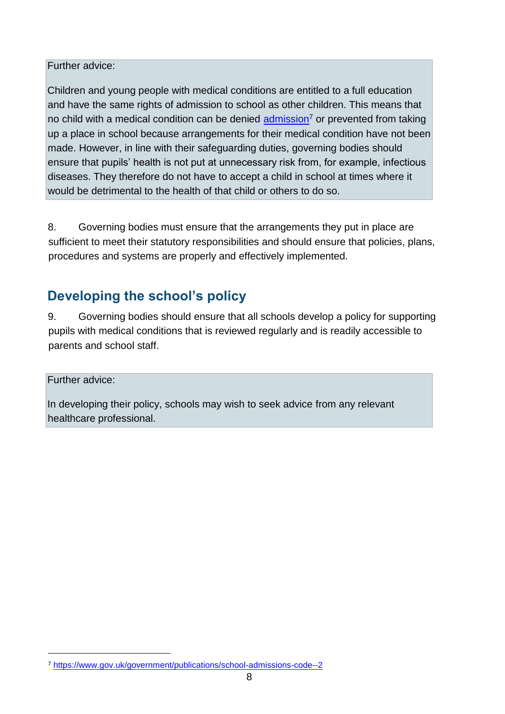Children and young people with medical conditions are entitled to a full education and have the same rights of admission to school as other children. This means that no child with a medical condition can be denied [admission](https://www.gov.uk/government/publications/school-admissions-code--2)<sup>7</sup> or prevented from taking up a place in school because arrangements for their medical condition have not been made. However, in line with their safeguarding duties, governing bodies should ensure that pupils' health is not put at unnecessary risk from, for example, infectious diseases. They therefore do not have to accept a child in school at times where it would be detrimental to the health of that child or others to do so.

8. Governing bodies must ensure that the arrangements they put in place are sufficient to meet their statutory responsibilities and should ensure that policies, plans, procedures and systems are properly and effectively implemented.

### <span id="page-7-0"></span>**Developing the school's policy**

9. Governing bodies should ensure that all schools develop a policy for supporting pupils with medical conditions that is reviewed regularly and is readily accessible to parents and school staff.

#### Further advice:

1

In developing their policy, schools may wish to seek advice from any relevant healthcare professional.

<sup>7</sup> <https://www.gov.uk/government/publications/school-admissions-code--2>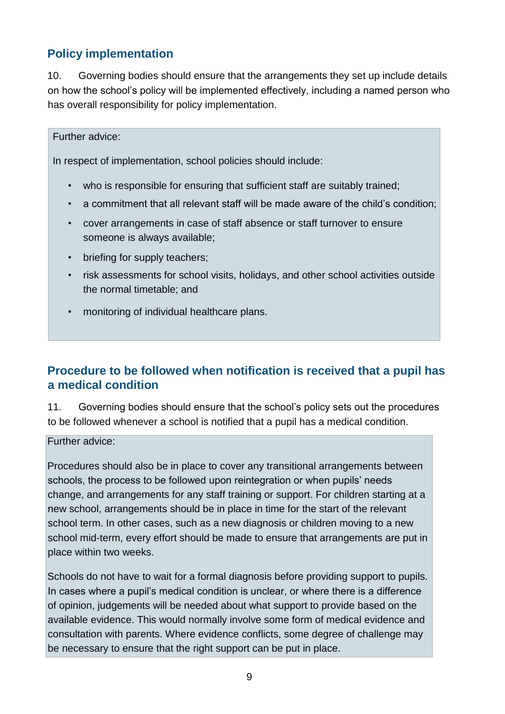#### **Policy implementation**

10. Governing bodies should ensure that the arrangements they set up include details on how the school's policy will be implemented effectively, including a named person who has overall responsibility for policy implementation.

#### Further advice:

In respect of implementation, school policies should include:

- who is responsible for ensuring that sufficient staff are suitably trained;
- a commitment that all relevant staff will be made aware of the child's condition;
- cover arrangements in case of staff absence or staff turnover to ensure someone is always available;
- briefing for supply teachers;
- risk assessments for school visits, holidays, and other school activities outside the normal timetable; and
- monitoring of individual healthcare plans.

#### **Procedure to be followed when notification is received that a pupil has a medical condition**

11. Governing bodies should ensure that the school's policy sets out the procedures to be followed whenever a school is notified that a pupil has a medical condition.

#### Further advice:

Procedures should also be in place to cover any transitional arrangements between schools, the process to be followed upon reintegration or when pupils' needs change, and arrangements for any staff training or support. For children starting at a new school, arrangements should be in place in time for the start of the relevant school term. In other cases, such as a new diagnosis or children moving to a new school mid-term, every effort should be made to ensure that arrangements are put in place within two weeks.

Schools do not have to wait for a formal diagnosis before providing support to pupils. In cases where a pupil's medical condition is unclear, or where there is a difference of opinion, judgements will be needed about what support to provide based on the available evidence. This would normally involve some form of medical evidence and consultation with parents. Where evidence conflicts, some degree of challenge may be necessary to ensure that the right support can be put in place.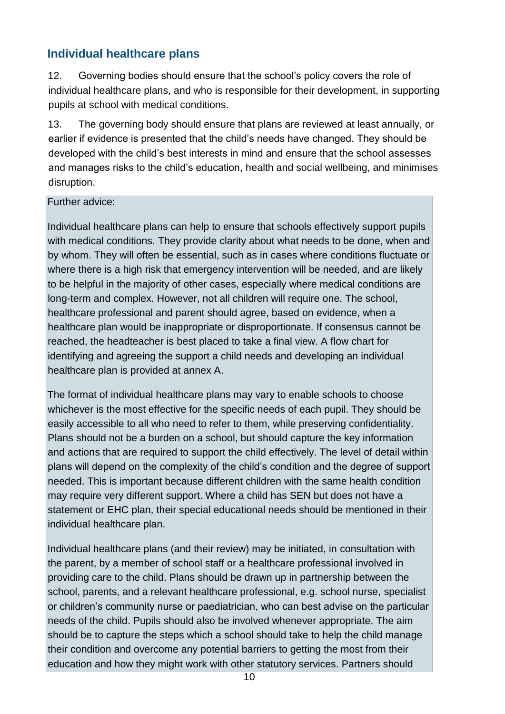#### **Individual healthcare plans**

12. Governing bodies should ensure that the school's policy covers the role of individual healthcare plans, and who is responsible for their development, in supporting pupils at school with medical conditions.

13. The governing body should ensure that plans are reviewed at least annually, or earlier if evidence is presented that the child's needs have changed. They should be developed with the child's best interests in mind and ensure that the school assesses and manages risks to the child's education, health and social wellbeing, and minimises disruption.

#### Further advice:

Individual healthcare plans can help to ensure that schools effectively support pupils with medical conditions. They provide clarity about what needs to be done, when and by whom. They will often be essential, such as in cases where conditions fluctuate or where there is a high risk that emergency intervention will be needed, and are likely to be helpful in the majority of other cases, especially where medical conditions are long-term and complex. However, not all children will require one. The school, healthcare professional and parent should agree, based on evidence, when a healthcare plan would be inappropriate or disproportionate. If consensus cannot be reached, the headteacher is best placed to take a final view. A flow chart for identifying and agreeing the support a child needs and developing an individual healthcare plan is provided at annex A.

The format of individual healthcare plans may vary to enable schools to choose whichever is the most effective for the specific needs of each pupil. They should be easily accessible to all who need to refer to them, while preserving confidentiality. Plans should not be a burden on a school, but should capture the key information and actions that are required to support the child effectively. The level of detail within plans will depend on the complexity of the child's condition and the degree of support needed. This is important because different children with the same health condition may require very different support. Where a child has SEN but does not have a statement or EHC plan, their special educational needs should be mentioned in their individual healthcare plan.

Individual healthcare plans (and their review) may be initiated, in consultation with the parent, by a member of school staff or a healthcare professional involved in providing care to the child. Plans should be drawn up in partnership between the school, parents, and a relevant healthcare professional, e.g. school nurse, specialist or children's community nurse or paediatrician, who can best advise on the particular needs of the child. Pupils should also be involved whenever appropriate. The aim should be to capture the steps which a school should take to help the child manage their condition and overcome any potential barriers to getting the most from their education and how they might work with other statutory services. Partners should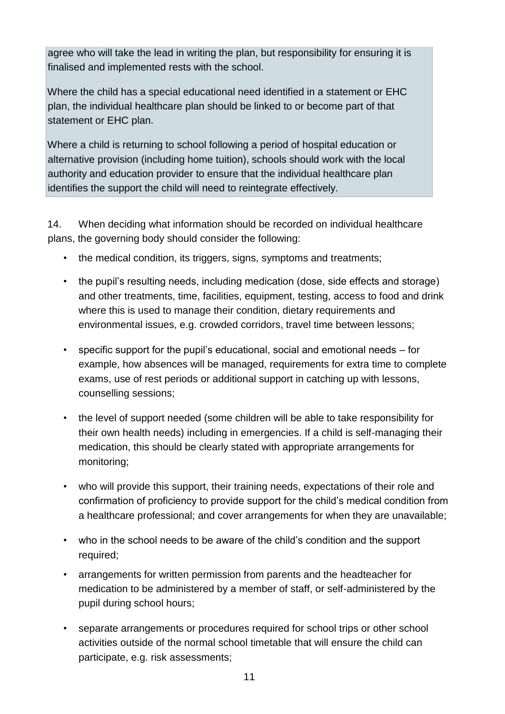agree who will take the lead in writing the plan, but responsibility for ensuring it is finalised and implemented rests with the school.

Where the child has a special educational need identified in a statement or EHC plan, the individual healthcare plan should be linked to or become part of that statement or EHC plan.

Where a child is returning to school following a period of hospital education or alternative provision (including home tuition), schools should work with the local authority and education provider to ensure that the individual healthcare plan identifies the support the child will need to reintegrate effectively.

14. When deciding what information should be recorded on individual healthcare plans, the governing body should consider the following:

- the medical condition, its triggers, signs, symptoms and treatments;
- the pupil's resulting needs, including medication (dose, side effects and storage) and other treatments, time, facilities, equipment, testing, access to food and drink where this is used to manage their condition, dietary requirements and environmental issues, e.g. crowded corridors, travel time between lessons;
- specific support for the pupil's educational, social and emotional needs for example, how absences will be managed, requirements for extra time to complete exams, use of rest periods or additional support in catching up with lessons, counselling sessions;
- the level of support needed (some children will be able to take responsibility for their own health needs) including in emergencies. If a child is self-managing their medication, this should be clearly stated with appropriate arrangements for monitoring;
- who will provide this support, their training needs, expectations of their role and confirmation of proficiency to provide support for the child's medical condition from a healthcare professional; and cover arrangements for when they are unavailable;
- who in the school needs to be aware of the child's condition and the support required;
- arrangements for written permission from parents and the headteacher for medication to be administered by a member of staff, or self-administered by the pupil during school hours;
- separate arrangements or procedures required for school trips or other school activities outside of the normal school timetable that will ensure the child can participate, e.g. risk assessments;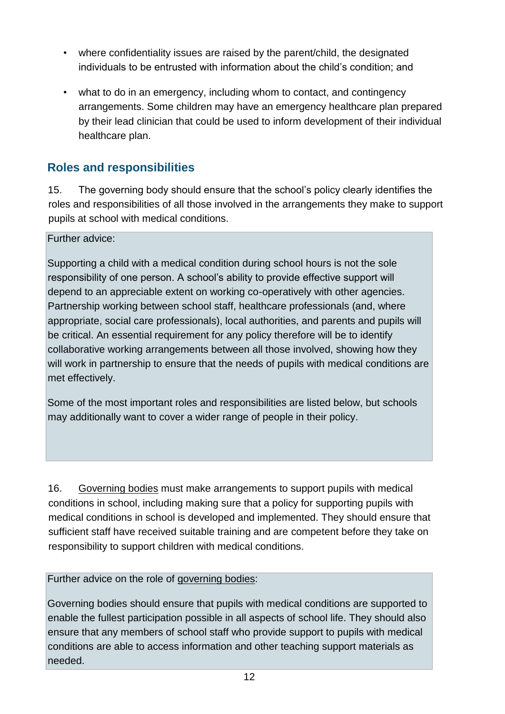- where confidentiality issues are raised by the parent/child, the designated individuals to be entrusted with information about the child's condition; and
- what to do in an emergency, including whom to contact, and contingency arrangements. Some children may have an emergency healthcare plan prepared by their lead clinician that could be used to inform development of their individual healthcare plan.

#### **Roles and responsibilities**

15. The governing body should ensure that the school's policy clearly identifies the roles and responsibilities of all those involved in the arrangements they make to support pupils at school with medical conditions.

Further advice:

Supporting a child with a medical condition during school hours is not the sole responsibility of one person. A school's ability to provide effective support will depend to an appreciable extent on working co-operatively with other agencies. Partnership working between school staff, healthcare professionals (and, where appropriate, social care professionals), local authorities, and parents and pupils will be critical. An essential requirement for any policy therefore will be to identify collaborative working arrangements between all those involved, showing how they will work in partnership to ensure that the needs of pupils with medical conditions are met effectively.

Some of the most important roles and responsibilities are listed below, but schools may additionally want to cover a wider range of people in their policy.

16. Governing bodies must make arrangements to support pupils with medical conditions in school, including making sure that a policy for supporting pupils with medical conditions in school is developed and implemented. They should ensure that sufficient staff have received suitable training and are competent before they take on responsibility to support children with medical conditions.

Further advice on the role of governing bodies:

Governing bodies should ensure that pupils with medical conditions are supported to enable the fullest participation possible in all aspects of school life. They should also ensure that any members of school staff who provide support to pupils with medical conditions are able to access information and other teaching support materials as needed.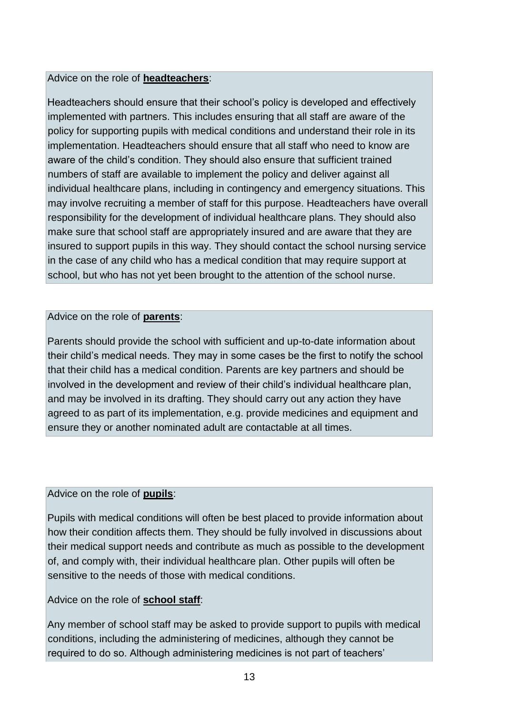#### Advice on the role of **headteachers**:

Headteachers should ensure that their school's policy is developed and effectively implemented with partners. This includes ensuring that all staff are aware of the policy for supporting pupils with medical conditions and understand their role in its implementation. Headteachers should ensure that all staff who need to know are aware of the child's condition. They should also ensure that sufficient trained numbers of staff are available to implement the policy and deliver against all individual healthcare plans, including in contingency and emergency situations. This may involve recruiting a member of staff for this purpose. Headteachers have overall responsibility for the development of individual healthcare plans. They should also make sure that school staff are appropriately insured and are aware that they are insured to support pupils in this way. They should contact the school nursing service in the case of any child who has a medical condition that may require support at school, but who has not yet been brought to the attention of the school nurse.

#### Advice on the role of **parents**:

Parents should provide the school with sufficient and up-to-date information about their child's medical needs. They may in some cases be the first to notify the school that their child has a medical condition. Parents are key partners and should be involved in the development and review of their child's individual healthcare plan, and may be involved in its drafting. They should carry out any action they have agreed to as part of its implementation, e.g. provide medicines and equipment and ensure they or another nominated adult are contactable at all times.

#### Advice on the role of **pupils**:

Pupils with medical conditions will often be best placed to provide information about how their condition affects them. They should be fully involved in discussions about their medical support needs and contribute as much as possible to the development of, and comply with, their individual healthcare plan. Other pupils will often be sensitive to the needs of those with medical conditions.

#### Advice on the role of **school staff**:

Any member of school staff may be asked to provide support to pupils with medical conditions, including the administering of medicines, although they cannot be required to do so. Although administering medicines is not part of teachers'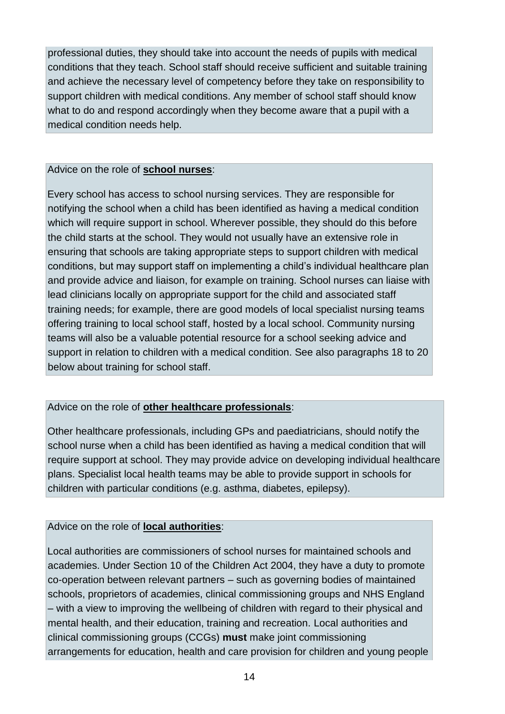professional duties, they should take into account the needs of pupils with medical conditions that they teach. School staff should receive sufficient and suitable training and achieve the necessary level of competency before they take on responsibility to support children with medical conditions. Any member of school staff should know what to do and respond accordingly when they become aware that a pupil with a medical condition needs help.

#### Advice on the role of **school nurses**:

Every school has access to school nursing services. They are responsible for notifying the school when a child has been identified as having a medical condition which will require support in school. Wherever possible, they should do this before the child starts at the school. They would not usually have an extensive role in ensuring that schools are taking appropriate steps to support children with medical conditions, but may support staff on implementing a child's individual healthcare plan and provide advice and liaison, for example on training. School nurses can liaise with lead clinicians locally on appropriate support for the child and associated staff training needs; for example, there are good models of local specialist nursing teams offering training to local school staff, hosted by a local school. Community nursing teams will also be a valuable potential resource for a school seeking advice and support in relation to children with a medical condition. See also paragraphs 18 to 20 below about training for school staff.

#### Advice on the role of **other healthcare professionals**:

Other healthcare professionals, including GPs and paediatricians, should notify the school nurse when a child has been identified as having a medical condition that will require support at school. They may provide advice on developing individual healthcare plans. Specialist local health teams may be able to provide support in schools for children with particular conditions (e.g. asthma, diabetes, epilepsy).

#### Advice on the role of **local authorities**:

Local authorities are commissioners of school nurses for maintained schools and academies. Under Section 10 of the Children Act 2004, they have a duty to promote co-operation between relevant partners – such as governing bodies of maintained schools, proprietors of academies, clinical commissioning groups and NHS England – with a view to improving the wellbeing of children with regard to their physical and mental health, and their education, training and recreation. Local authorities and clinical commissioning groups (CCGs) **must** make joint commissioning arrangements for education, health and care provision for children and young people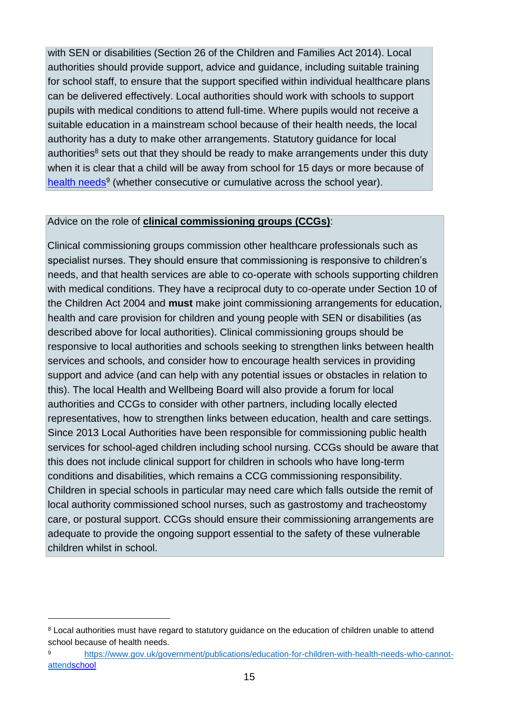with SEN or disabilities (Section 26 of the Children and Families Act 2014). Local authorities should provide support, advice and guidance, including suitable training for school staff, to ensure that the support specified within individual healthcare plans can be delivered effectively. Local authorities should work with schools to support pupils with medical conditions to attend full-time. Where pupils would not receive a suitable education in a mainstream school because of their health needs, the local authority has a duty to make other arrangements. Statutory guidance for local  $a$ uthorities<sup>8</sup> sets out that they should be ready to make arrangements under this duty when it is clear that a child will be away from school for 15 days or more because of [health needs](https://www.gov.uk/government/publications/education-for-children-with-health-needs-who-cannot-attend-school)<sup>9</sup> (whether consecutive or cumulative across the school year).

#### Advice on the role of **clinical commissioning groups (CCGs)**:

Clinical commissioning groups commission other healthcare professionals such as specialist nurses. They should ensure that commissioning is responsive to children's needs, and that health services are able to co-operate with schools supporting children with medical conditions. They have a reciprocal duty to co-operate under Section 10 of the Children Act 2004 and **must** make joint commissioning arrangements for education, health and care provision for children and young people with SEN or disabilities (as described above for local authorities). Clinical commissioning groups should be responsive to local authorities and schools seeking to strengthen links between health services and schools, and consider how to encourage health services in providing support and advice (and can help with any potential issues or obstacles in relation to this). The local Health and Wellbeing Board will also provide a forum for local authorities and CCGs to consider with other partners, including locally elected representatives, how to strengthen links between education, health and care settings. Since 2013 Local Authorities have been responsible for commissioning public health services for school-aged children including school nursing. CCGs should be aware that this does not include clinical support for children in schools who have long-term conditions and disabilities, which remains a CCG commissioning responsibility. Children in special schools in particular may need care which falls outside the remit of local authority commissioned school nurses, such as gastrostomy and tracheostomy care, or postural support. CCGs should ensure their commissioning arrangements are adequate to provide the ongoing support essential to the safety of these vulnerable children whilst in school.

1

<sup>&</sup>lt;sup>8</sup> Local authorities must have regard to statutory guidance on the education of children unable to attend school because of health needs.

<sup>9</sup> [https://www.gov.uk/government/publications/education-for-children-with-health-needs-who-cannot](https://www.gov.uk/government/publications/education-for-children-with-health-needs-who-cannot-attend)[attend](https://www.gov.uk/government/publications/education-for-children-with-health-needs-who-cannot-attend)[school](https://www.gov.uk/government/publications/education-for-children-with-health-needs-who-cannot-attend-school)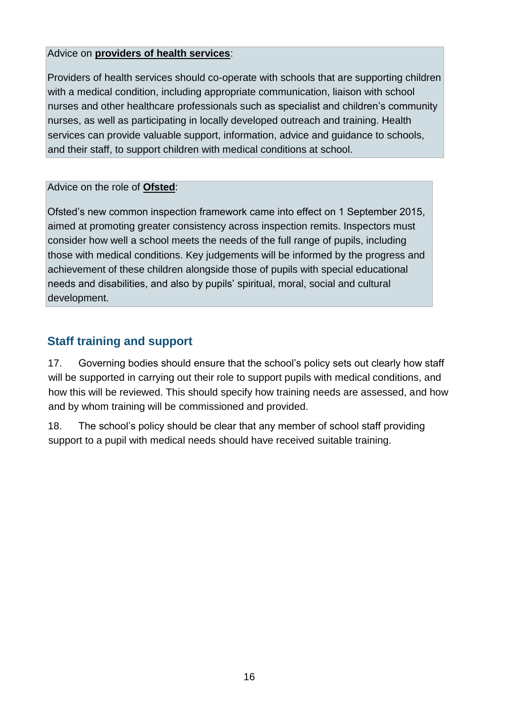#### Advice on **providers of health services**:

Providers of health services should co-operate with schools that are supporting children with a medical condition, including appropriate communication, liaison with school nurses and other healthcare professionals such as specialist and children's community nurses, as well as participating in locally developed outreach and training. Health services can provide valuable support, information, advice and guidance to schools, and their staff, to support children with medical conditions at school.

#### Advice on the role of **Ofsted**:

Ofsted's new common inspection framework came into effect on 1 September 2015, aimed at promoting greater consistency across inspection remits. Inspectors must consider how well a school meets the needs of the full range of pupils, including those with medical conditions. Key judgements will be informed by the progress and achievement of these children alongside those of pupils with special educational needs and disabilities, and also by pupils' spiritual, moral, social and cultural development.

#### **Staff training and support**

17. Governing bodies should ensure that the school's policy sets out clearly how staff will be supported in carrying out their role to support pupils with medical conditions, and how this will be reviewed. This should specify how training needs are assessed, and how and by whom training will be commissioned and provided.

18. The school's policy should be clear that any member of school staff providing support to a pupil with medical needs should have received suitable training.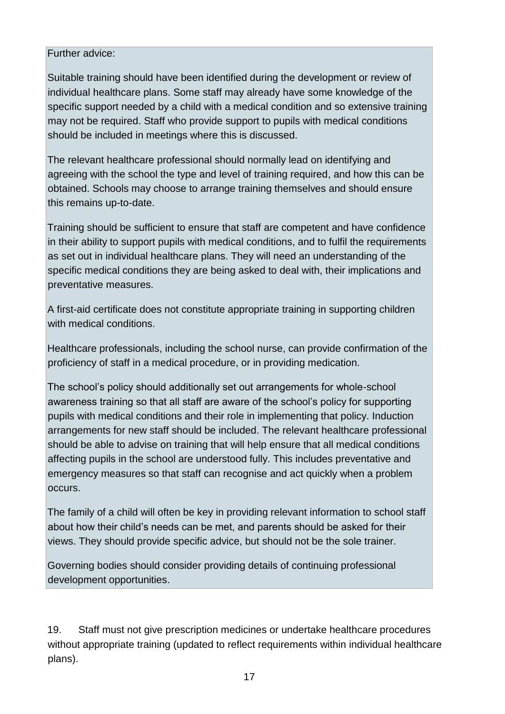Suitable training should have been identified during the development or review of individual healthcare plans. Some staff may already have some knowledge of the specific support needed by a child with a medical condition and so extensive training may not be required. Staff who provide support to pupils with medical conditions should be included in meetings where this is discussed.

The relevant healthcare professional should normally lead on identifying and agreeing with the school the type and level of training required, and how this can be obtained. Schools may choose to arrange training themselves and should ensure this remains up-to-date.

Training should be sufficient to ensure that staff are competent and have confidence in their ability to support pupils with medical conditions, and to fulfil the requirements as set out in individual healthcare plans. They will need an understanding of the specific medical conditions they are being asked to deal with, their implications and preventative measures.

A first-aid certificate does not constitute appropriate training in supporting children with medical conditions.

Healthcare professionals, including the school nurse, can provide confirmation of the proficiency of staff in a medical procedure, or in providing medication.

The school's policy should additionally set out arrangements for whole-school awareness training so that all staff are aware of the school's policy for supporting pupils with medical conditions and their role in implementing that policy. Induction arrangements for new staff should be included. The relevant healthcare professional should be able to advise on training that will help ensure that all medical conditions affecting pupils in the school are understood fully. This includes preventative and emergency measures so that staff can recognise and act quickly when a problem occurs.

The family of a child will often be key in providing relevant information to school staff about how their child's needs can be met, and parents should be asked for their views. They should provide specific advice, but should not be the sole trainer.

Governing bodies should consider providing details of continuing professional development opportunities.

19. Staff must not give prescription medicines or undertake healthcare procedures without appropriate training (updated to reflect requirements within individual healthcare plans).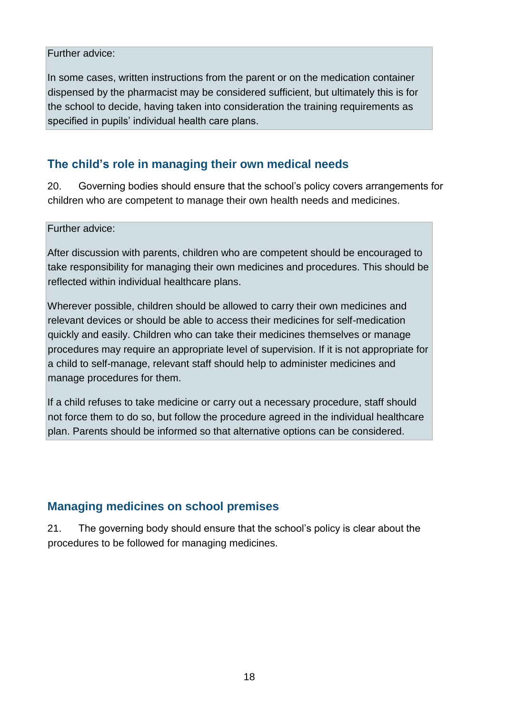In some cases, written instructions from the parent or on the medication container dispensed by the pharmacist may be considered sufficient, but ultimately this is for the school to decide, having taken into consideration the training requirements as specified in pupils' individual health care plans.

#### **The child's role in managing their own medical needs**

20. Governing bodies should ensure that the school's policy covers arrangements for children who are competent to manage their own health needs and medicines.

Further advice:

After discussion with parents, children who are competent should be encouraged to take responsibility for managing their own medicines and procedures. This should be reflected within individual healthcare plans.

Wherever possible, children should be allowed to carry their own medicines and relevant devices or should be able to access their medicines for self-medication quickly and easily. Children who can take their medicines themselves or manage procedures may require an appropriate level of supervision. If it is not appropriate for a child to self-manage, relevant staff should help to administer medicines and manage procedures for them.

If a child refuses to take medicine or carry out a necessary procedure, staff should not force them to do so, but follow the procedure agreed in the individual healthcare plan. Parents should be informed so that alternative options can be considered.

#### **Managing medicines on school premises**

21. The governing body should ensure that the school's policy is clear about the procedures to be followed for managing medicines.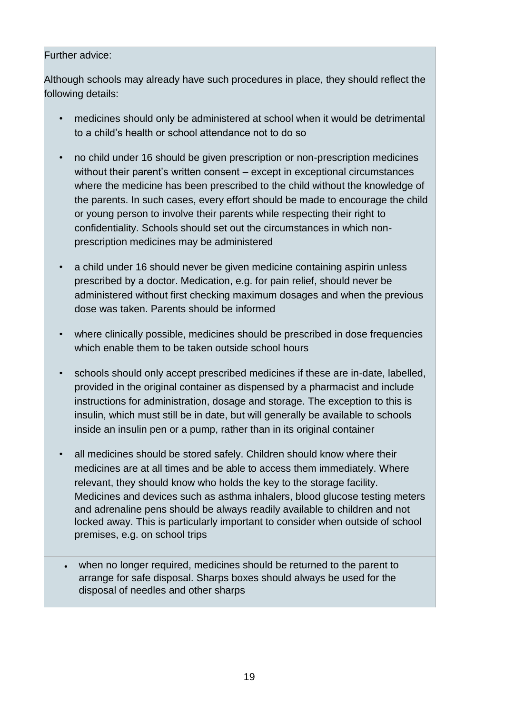Although schools may already have such procedures in place, they should reflect the following details:

- medicines should only be administered at school when it would be detrimental to a child's health or school attendance not to do so
- no child under 16 should be given prescription or non-prescription medicines without their parent's written consent – except in exceptional circumstances where the medicine has been prescribed to the child without the knowledge of the parents. In such cases, every effort should be made to encourage the child or young person to involve their parents while respecting their right to confidentiality. Schools should set out the circumstances in which nonprescription medicines may be administered
- a child under 16 should never be given medicine containing aspirin unless prescribed by a doctor. Medication, e.g. for pain relief, should never be administered without first checking maximum dosages and when the previous dose was taken. Parents should be informed
- where clinically possible, medicines should be prescribed in dose frequencies which enable them to be taken outside school hours
- schools should only accept prescribed medicines if these are in-date, labelled, provided in the original container as dispensed by a pharmacist and include instructions for administration, dosage and storage. The exception to this is insulin, which must still be in date, but will generally be available to schools inside an insulin pen or a pump, rather than in its original container
- all medicines should be stored safely. Children should know where their medicines are at all times and be able to access them immediately. Where relevant, they should know who holds the key to the storage facility. Medicines and devices such as asthma inhalers, blood glucose testing meters and adrenaline pens should be always readily available to children and not locked away. This is particularly important to consider when outside of school premises, e.g. on school trips
	- when no longer required, medicines should be returned to the parent to arrange for safe disposal. Sharps boxes should always be used for the disposal of needles and other sharps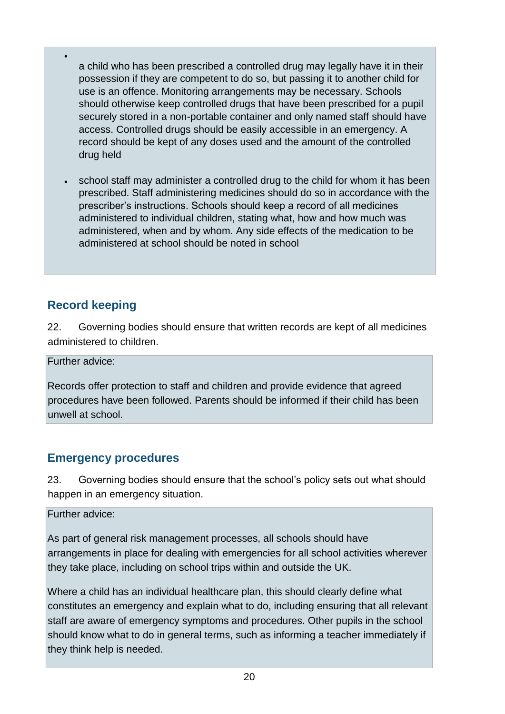a child who has been prescribed a controlled drug may legally have it in their possession if they are competent to do so, but passing it to another child for use is an offence. Monitoring arrangements may be necessary. Schools should otherwise keep controlled drugs that have been prescribed for a pupil securely stored in a non-portable container and only named staff should have access. Controlled drugs should be easily accessible in an emergency. A record should be kept of any doses used and the amount of the controlled drug held

school staff may administer a controlled drug to the child for whom it has been prescribed. Staff administering medicines should do so in accordance with the prescriber's instructions. Schools should keep a record of all medicines administered to individual children, stating what, how and how much was administered, when and by whom. Any side effects of the medication to be administered at school should be noted in school

#### **Record keeping**

•

22. Governing bodies should ensure that written records are kept of all medicines administered to children.

Further advice:

Records offer protection to staff and children and provide evidence that agreed procedures have been followed. Parents should be informed if their child has been unwell at school.

#### **Emergency procedures**

23. Governing bodies should ensure that the school's policy sets out what should happen in an emergency situation.

#### Further advice:

As part of general risk management processes, all schools should have arrangements in place for dealing with emergencies for all school activities wherever they take place, including on school trips within and outside the UK.

Where a child has an individual healthcare plan, this should clearly define what constitutes an emergency and explain what to do, including ensuring that all relevant staff are aware of emergency symptoms and procedures. Other pupils in the school should know what to do in general terms, such as informing a teacher immediately if they think help is needed.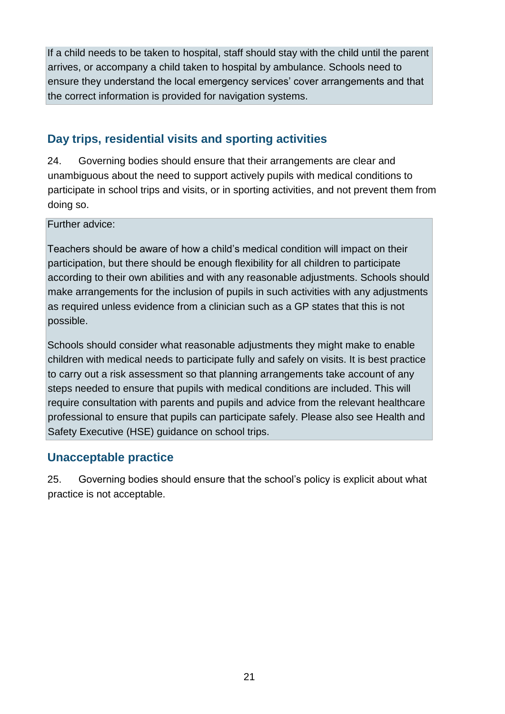If a child needs to be taken to hospital, staff should stay with the child until the parent arrives, or accompany a child taken to hospital by ambulance. Schools need to ensure they understand the local emergency services' cover arrangements and that the correct information is provided for navigation systems.

#### **Day trips, residential visits and sporting activities**

24. Governing bodies should ensure that their arrangements are clear and unambiguous about the need to support actively pupils with medical conditions to participate in school trips and visits, or in sporting activities, and not prevent them from doing so.

Further advice:

Teachers should be aware of how a child's medical condition will impact on their participation, but there should be enough flexibility for all children to participate according to their own abilities and with any reasonable adjustments. Schools should make arrangements for the inclusion of pupils in such activities with any adjustments as required unless evidence from a clinician such as a GP states that this is not possible.

Schools should consider what reasonable adjustments they might make to enable children with medical needs to participate fully and safely on visits. It is best practice to carry out a risk assessment so that planning arrangements take account of any steps needed to ensure that pupils with medical conditions are included. This will require consultation with parents and pupils and advice from the relevant healthcare professional to ensure that pupils can participate safely. Please also see Health and Safety Executive (HSE) guidance on school trips.

#### **Unacceptable practice**

25. Governing bodies should ensure that the school's policy is explicit about what practice is not acceptable.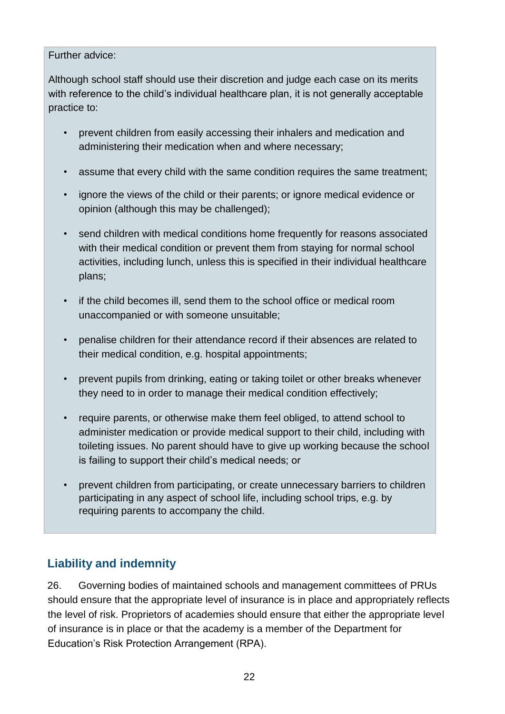Although school staff should use their discretion and judge each case on its merits with reference to the child's individual healthcare plan, it is not generally acceptable practice to:

- prevent children from easily accessing their inhalers and medication and administering their medication when and where necessary;
- assume that every child with the same condition requires the same treatment;
- ignore the views of the child or their parents; or ignore medical evidence or opinion (although this may be challenged);
- send children with medical conditions home frequently for reasons associated with their medical condition or prevent them from staying for normal school activities, including lunch, unless this is specified in their individual healthcare plans;
- if the child becomes ill, send them to the school office or medical room unaccompanied or with someone unsuitable;
- penalise children for their attendance record if their absences are related to their medical condition, e.g. hospital appointments;
- prevent pupils from drinking, eating or taking toilet or other breaks whenever they need to in order to manage their medical condition effectively;
- require parents, or otherwise make them feel obliged, to attend school to administer medication or provide medical support to their child, including with toileting issues. No parent should have to give up working because the school is failing to support their child's medical needs; or
- prevent children from participating, or create unnecessary barriers to children participating in any aspect of school life, including school trips, e.g. by requiring parents to accompany the child.

#### **Liability and indemnity**

26. Governing bodies of maintained schools and management committees of PRUs should ensure that the appropriate level of insurance is in place and appropriately reflects the level of risk. Proprietors of academies should ensure that either the appropriate level of insurance is in place or that the academy is a member of the Department for Education's Risk Protection Arrangement (RPA).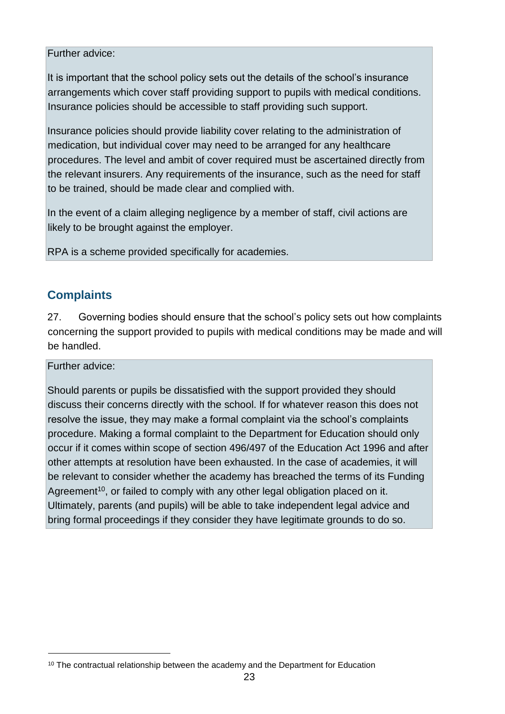It is important that the school policy sets out the details of the school's insurance arrangements which cover staff providing support to pupils with medical conditions. Insurance policies should be accessible to staff providing such support.

Insurance policies should provide liability cover relating to the administration of medication, but individual cover may need to be arranged for any healthcare procedures. The level and ambit of cover required must be ascertained directly from the relevant insurers. Any requirements of the insurance, such as the need for staff to be trained, should be made clear and complied with.

In the event of a claim alleging negligence by a member of staff, civil actions are likely to be brought against the employer.

RPA is a scheme provided specifically for academies.

#### **Complaints**

27. Governing bodies should ensure that the school's policy sets out how complaints concerning the support provided to pupils with medical conditions may be made and will be handled.

#### Further advice:

1

Should parents or pupils be dissatisfied with the support provided they should discuss their concerns directly with the school. If for whatever reason this does not resolve the issue, they may make a formal complaint via the school's complaints procedure. Making a formal complaint to the Department for Education should only occur if it comes within scope of section 496/497 of the Education Act 1996 and after other attempts at resolution have been exhausted. In the case of academies, it will be relevant to consider whether the academy has breached the terms of its Funding Agreement<sup>10</sup>, or failed to comply with any other legal obligation placed on it. Ultimately, parents (and pupils) will be able to take independent legal advice and bring formal proceedings if they consider they have legitimate grounds to do so.

<sup>&</sup>lt;sup>10</sup> The contractual relationship between the academy and the Department for Education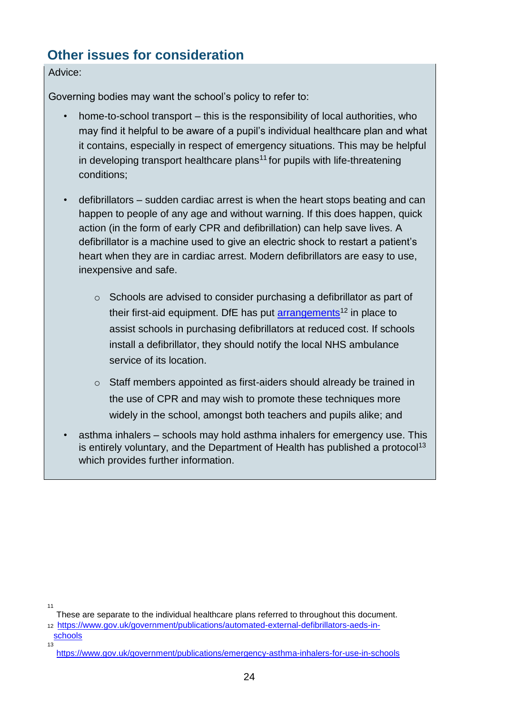### <span id="page-23-0"></span>**Other issues for consideration**

#### Advice:

Governing bodies may want the school's policy to refer to:

- home-to-school transport this is the responsibility of local authorities, who may find it helpful to be aware of a pupil's individual healthcare plan and what it contains, especially in respect of emergency situations. This may be helpful in developing transport healthcare plans<sup>11</sup> for pupils with life-threatening conditions;
- defibrillators sudden cardiac arrest is when the heart stops beating and can happen to people of any age and without warning. If this does happen, quick action (in the form of early CPR and defibrillation) can help save lives. A defibrillator is a machine used to give an electric shock to restart a patient's heart when they are in cardiac arrest. Modern defibrillators are easy to use, inexpensive and safe.
	- o Schools are advised to consider purchasing a defibrillator as part of their first-aid equipment. DfE has put **arrangements**<sup>[12](https://www.gov.uk/government/publications/automated-external-defibrillators-aeds-in-schools)</sup> in place to assist schools in purchasing defibrillators at reduced cost. If schools install a defibrillator, they should notify the local NHS ambulance service of its location
	- o Staff members appointed as first-aiders should already be trained in the use of CPR and may wish to promote these techniques more widely in the school, amongst both teachers and pupils alike; and
- asthma inhalers schools may hold asthma inhalers for emergency use. This is entirely voluntary, and the Department of Health has published a [protocol](https://www.gov.uk/government/publications/emergency-asthma-inhalers-for-use-in-schools)<sup>[13](https://www.gov.uk/government/publications/emergency-asthma-inhalers-for-use-in-schools)</sup> which provides further information.

11

These are separate to the individual healthcare plans referred to throughout this document. 12 [https://www.gov.uk/government/publications/automated-external-defibrillators-aeds-in](https://www.gov.uk/government/publications/automated-external-defibrillators-aeds-in-schools)[schools](https://www.gov.uk/government/publications/automated-external-defibrillators-aeds-in-schools)

 $13$ 

<span id="page-23-1"></span><https://www.gov.uk/government/publications/emergency-asthma-inhalers-for-use-in-schools>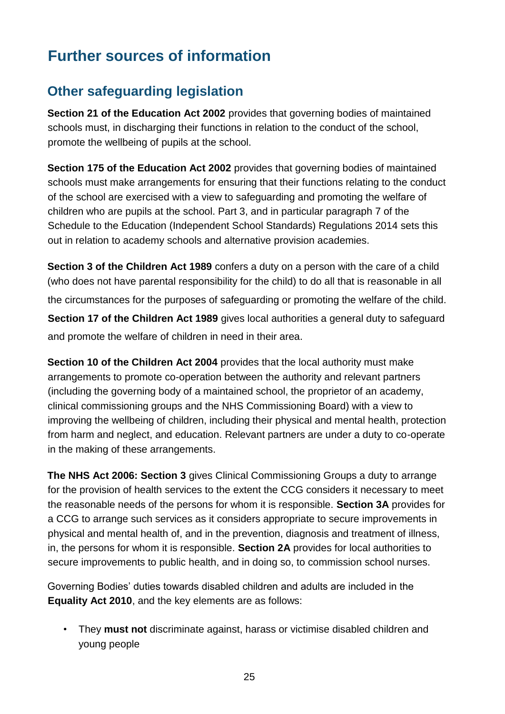### **Further sources of information**

### <span id="page-24-0"></span>**Other safeguarding legislation**

**Section 21 of the Education Act 2002** provides that governing bodies of maintained schools must, in discharging their functions in relation to the conduct of the school, promote the wellbeing of pupils at the school.

**Section 175 of the Education Act 2002** provides that governing bodies of maintained schools must make arrangements for ensuring that their functions relating to the conduct of the school are exercised with a view to safeguarding and promoting the welfare of children who are pupils at the school. Part 3, and in particular paragraph 7 of the Schedule to the Education (Independent School Standards) Regulations 2014 sets this out in relation to academy schools and alternative provision academies.

**Section 3 of the Children Act 1989** confers a duty on a person with the care of a child (who does not have parental responsibility for the child) to do all that is reasonable in all the circumstances for the purposes of safeguarding or promoting the welfare of the child. **Section 17 of the Children Act 1989** gives local authorities a general duty to safeguard and promote the welfare of children in need in their area.

**Section 10 of the Children Act 2004** provides that the local authority must make arrangements to promote co-operation between the authority and relevant partners (including the governing body of a maintained school, the proprietor of an academy, clinical commissioning groups and the NHS Commissioning Board) with a view to improving the wellbeing of children, including their physical and mental health, protection from harm and neglect, and education. Relevant partners are under a duty to co-operate in the making of these arrangements.

**The NHS Act 2006: Section 3** gives Clinical Commissioning Groups a duty to arrange for the provision of health services to the extent the CCG considers it necessary to meet the reasonable needs of the persons for whom it is responsible. **Section 3A** provides for a CCG to arrange such services as it considers appropriate to secure improvements in physical and mental health of, and in the prevention, diagnosis and treatment of illness, in, the persons for whom it is responsible. **Section 2A** provides for local authorities to secure improvements to public health, and in doing so, to commission school nurses.

Governing Bodies' duties towards disabled children and adults are included in the **Equality Act 2010**, and the key elements are as follows:

• They **must not** discriminate against, harass or victimise disabled children and young people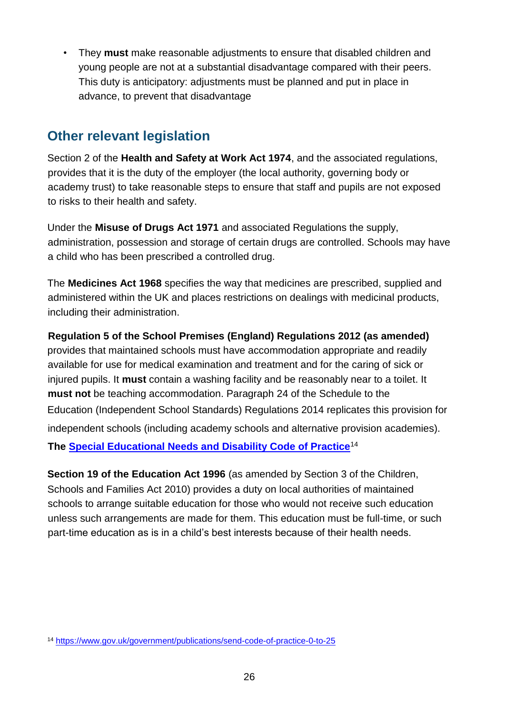• They **must** make reasonable adjustments to ensure that disabled children and young people are not at a substantial disadvantage compared with their peers. This duty is anticipatory: adjustments must be planned and put in place in advance, to prevent that disadvantage

### <span id="page-25-0"></span>**Other relevant legislation**

Section 2 of the **Health and Safety at Work Act 1974**, and the associated regulations, provides that it is the duty of the employer (the local authority, governing body or academy trust) to take reasonable steps to ensure that staff and pupils are not exposed to risks to their health and safety.

Under the **Misuse of Drugs Act 1971** and associated Regulations the supply, administration, possession and storage of certain drugs are controlled. Schools may have a child who has been prescribed a controlled drug.

The **Medicines Act 1968** specifies the way that medicines are prescribed, supplied and administered within the UK and places restrictions on dealings with medicinal products, including their administration.

**Regulation 5 of the School Premises (England) Regulations 2012 (as amended)** provides that maintained schools must have accommodation appropriate and readily available for use for medical examination and treatment and for the caring of sick or injured pupils. It **must** contain a washing facility and be reasonably near to a toilet. It **must not** be teaching accommodation. Paragraph 24 of the Schedule to the Education (Independent School Standards) Regulations 2014 replicates this provision for independent schools (including academy schools and alternative provision academies).

**The [Special Educational Needs and Disability Code of Practice](https://www.gov.uk/government/publications/send-code-of-practice-0-to-25)**[14](https://www.gov.uk/government/publications/send-code-of-practice-0-to-25)

**Section 19 of the Education Act 1996** (as amended by Section 3 of the Children, Schools and Families Act 2010) provides a duty on local authorities of maintained schools to arrange suitable education for those who would not receive such education unless such arrangements are made for them. This education must be full-time, or such part-time education as is in a child's best interests because of their health needs.

<span id="page-25-1"></span><sup>14</sup> <https://www.gov.uk/government/publications/send-code-of-practice-0-to-25>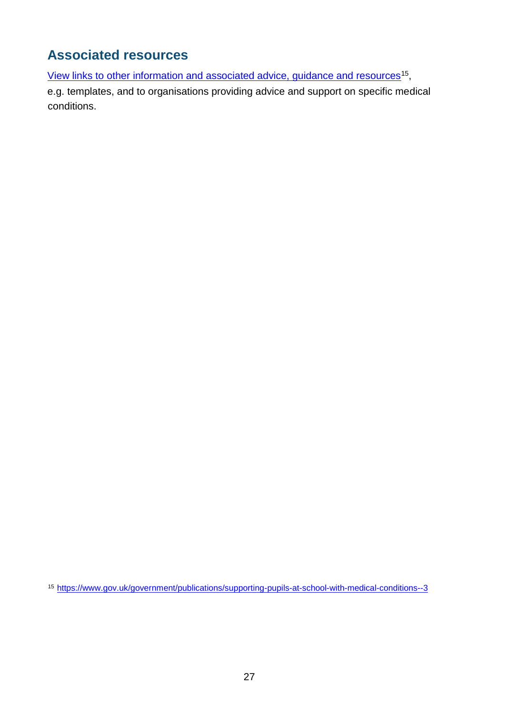### **Associated resources**

[View links to other information and associated advice, guidance and resources](https://www.gov.uk/government/publications/supporting-pupils-at-school-with-medical-conditions)<sup>[15](https://www.gov.uk/government/publications/supporting-pupils-at-school-with-medical-conditions)</sup>,

e.g. templates, and to organisations providing advice and support on specific medical conditions.

<sup>15</sup> <https://www.gov.uk/government/publications/supporting-pupils-at-school-with-medical-conditions--3>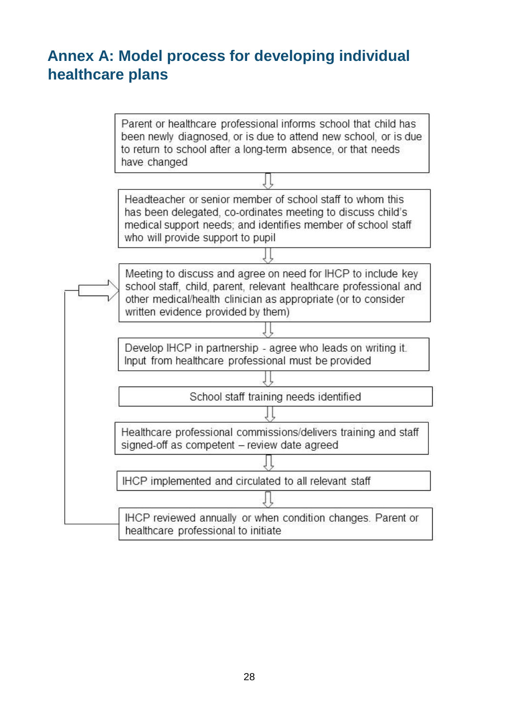### <span id="page-27-0"></span>**Annex A: Model process for developing individual healthcare plans**